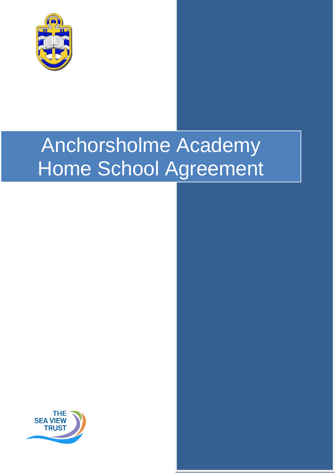

# Anchorsholme Academy Home School Agreement

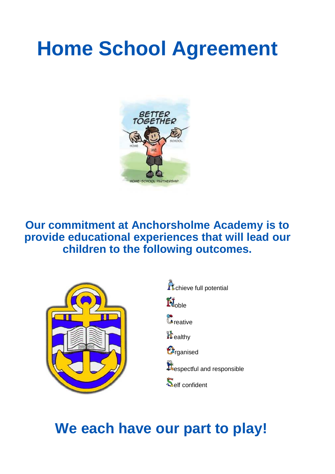# **Home School Agreement**



**Our commitment at Anchorsholme Academy is to provide educational experiences that will lead our children to the following outcomes.**



Chieve full potential  $\mathbf{N}_{\text{ohle}}$ **Contractive il** ealthy *<u></u>* rganised **Respectful and responsible** Self confident

## **We each have our part to play!**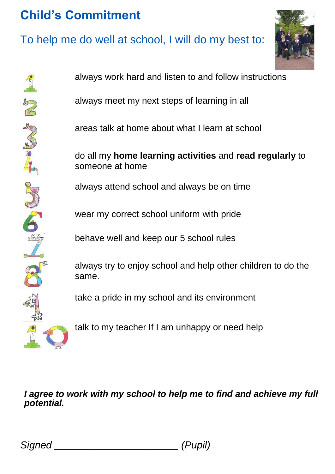### **Child's Commitment**

#### To help me do well at school, I will do my best to:





always work hard and listen to and follow instructions

always meet my next steps of learning in all

areas talk at home about what I learn at school

do all my **home learning activities** and **read regularly** to someone at home

always attend school and always be on time

wear my correct school uniform with pride

behave well and keep our 5 school rules

always try to enjoy school and help other children to do the same.

take a pride in my school and its environment

talk to my teacher If I am unhappy or need help

*I agree to work with my school to help me to find and achieve my full potential.*

| <b>Signed</b> | (Pupil) |
|---------------|---------|
|               |         |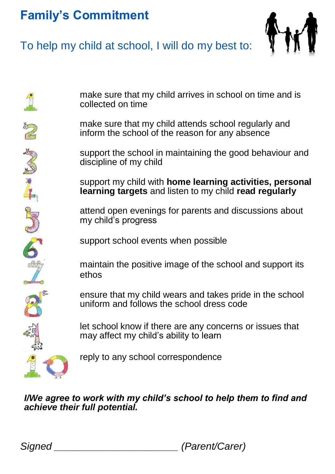## **Family's Commitment**



#### To help my child at school, I will do my best to:

make sure that my child arrives in school on time and is collected on time make sure that my child attends school regularly and inform the school of the reason for any absence COOLEY BOOK support the school in maintaining the good behaviour and discipline of my child support my child with **home learning activities, personal learning targets** and listen to my child **read regularly** attend open evenings for parents and discussions about my child's progress support school events when possible maintain the positive image of the school and support its ethos ensure that my child wears and takes pride in the school uniform and follows the school dress code let school know if there are any concerns or issues that may affect my child's ability to learn reply to any school correspondence

#### *I/We agree to work with my child's school to help them to find and achieve their full potential.*

*Signed \_\_\_\_\_\_\_\_\_\_\_\_\_\_\_\_\_\_\_\_\_\_ (Parent/Carer)*